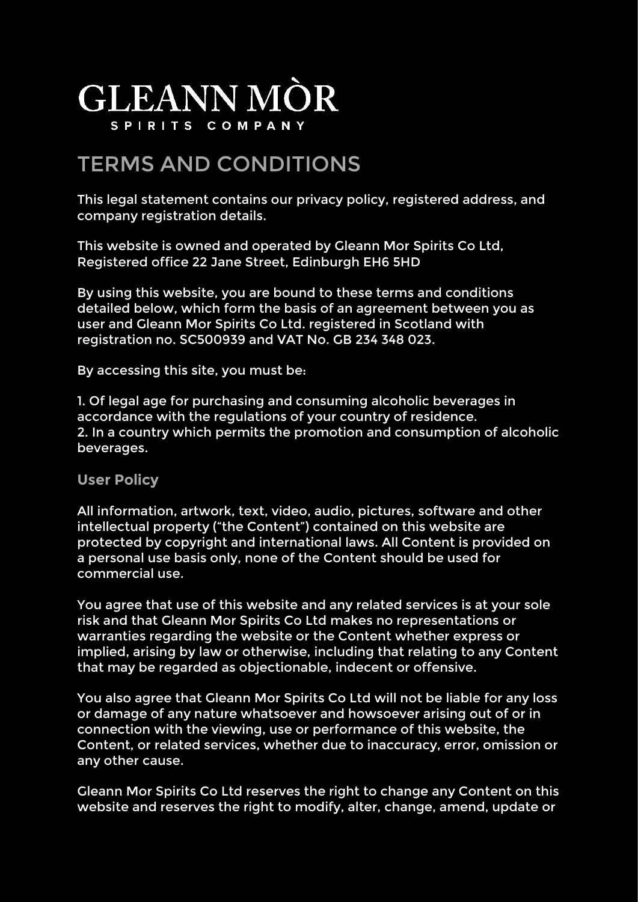## **GLEANN MÒR** SPIRITS COMPANY

## TERMS AND CONDITIONS

This legal statement contains our privacy policy, registered address, and company registration details.

This website is owned and operated by Gleann Mor Spirits Co Ltd, Registered office 22 Jane Street, Edinburgh EH6 5HD

By using this website, you are bound to these terms and conditions detailed below, which form the basis of an agreement between you as user and Gleann Mor Spirits Co Ltd. registered in Scotland with registration no. SC500939 and VAT No. GB 234 348 023.

By accessing this site, you must be:

1. Of legal age for purchasing and consuming alcoholic beverages in accordance with the regulations of your country of residence. 2. In a country which permits the promotion and consumption of alcoholic beverages.

**User Policy**

All information, artwork, text, video, audio, pictures, software and other intellectual property ("the Content") contained on this website are protected by copyright and international laws. All Content is provided on a personal use basis only, none of the Content should be used for commercial use.

You agree that use of this website and any related services is at your sole risk and that Gleann Mor Spirits Co Ltd makes no representations or warranties regarding the website or the Content whether express or implied, arising by law or otherwise, including that relating to any Content that may be regarded as objectionable, indecent or offensive.

You also agree that Gleann Mor Spirits Co Ltd will not be liable for any loss or damage of any nature whatsoever and howsoever arising out of or in connection with the viewing, use or performance of this website, the Content, or related services, whether due to inaccuracy, error, omission or any other cause.

Gleann Mor Spirits Co Ltd reserves the right to change any Content on this website and reserves the right to modify, alter, change, amend, update or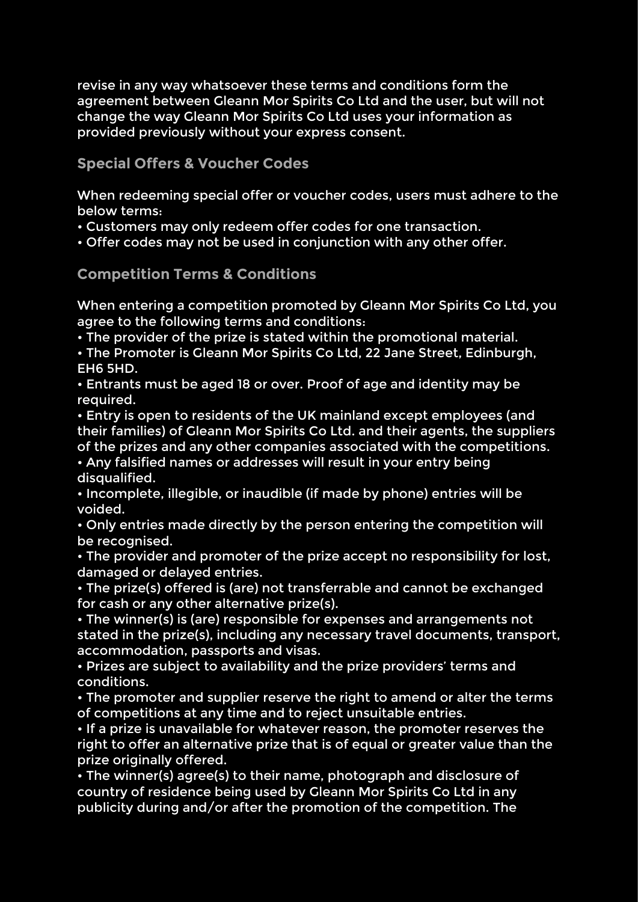revise in any way whatsoever these terms and conditions form the agreement between Gleann Mor Spirits Co Ltd and the user, but will not change the way Gleann Mor Spirits Co Ltd uses your information as provided previously without your express consent.

**Special Offers & Voucher Codes**

When redeeming special offer or voucher codes, users must adhere to the below terms:

• Customers may only redeem offer codes for one transaction.

• Offer codes may not be used in conjunction with any other offer.

**Competition Terms & Conditions**

When entering a competition promoted by Gleann Mor Spirits Co Ltd, you agree to the following terms and conditions:

• The provider of the prize is stated within the promotional material.

• The Promoter is Gleann Mor Spirits Co Ltd, 22 Jane Street, Edinburgh, EH6 5HD.

• Entrants must be aged 18 or over. Proof of age and identity may be required.

• Entry is open to residents of the UK mainland except employees (and their families) of Gleann Mor Spirits Co Ltd. and their agents, the suppliers of the prizes and any other companies associated with the competitions.

• Any falsified names or addresses will result in your entry being disqualified.

• Incomplete, illegible, or inaudible (if made by phone) entries will be voided.

• Only entries made directly by the person entering the competition will be recognised.

• The provider and promoter of the prize accept no responsibility for lost, damaged or delayed entries.

• The prize(s) offered is (are) not transferrable and cannot be exchanged for cash or any other alternative prize(s).

• The winner(s) is (are) responsible for expenses and arrangements not stated in the prize(s), including any necessary travel documents, transport, accommodation, passports and visas.

• Prizes are subject to availability and the prize providers' terms and conditions.

• The promoter and supplier reserve the right to amend or alter the terms of competitions at any time and to reject unsuitable entries.

• If a prize is unavailable for whatever reason, the promoter reserves the right to offer an alternative prize that is of equal or greater value than the prize originally offered.

• The winner(s) agree(s) to their name, photograph and disclosure of country of residence being used by Gleann Mor Spirits Co Ltd in any publicity during and/or after the promotion of the competition. The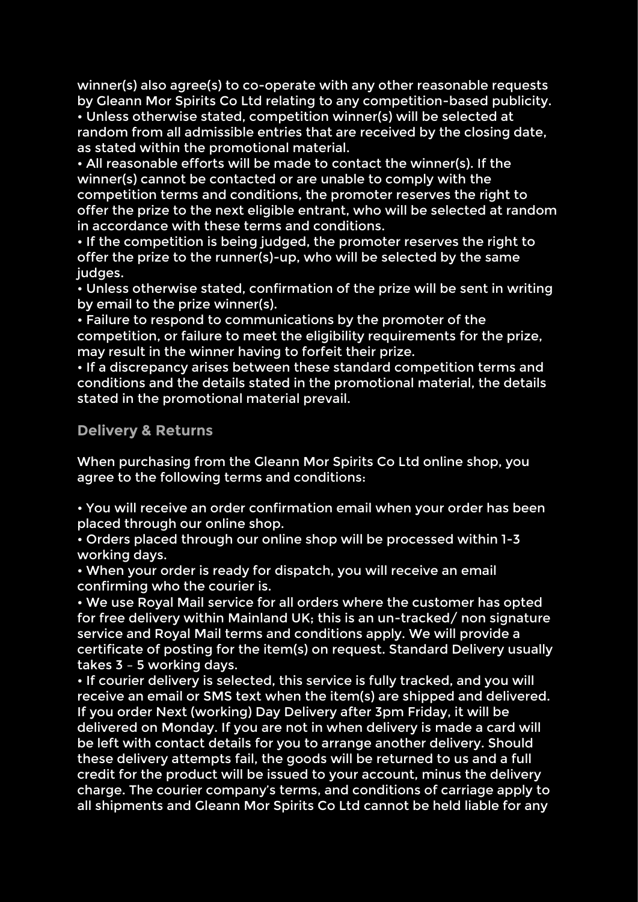winner(s) also agree(s) to co-operate with any other reasonable requests by Gleann Mor Spirits Co Ltd relating to any competition-based publicity. • Unless otherwise stated, competition winner(s) will be selected at random from all admissible entries that are received by the closing date, as stated within the promotional material.

• All reasonable efforts will be made to contact the winner(s). If the winner(s) cannot be contacted or are unable to comply with the competition terms and conditions, the promoter reserves the right to offer the prize to the next eligible entrant, who will be selected at random in accordance with these terms and conditions.

• If the competition is being judged, the promoter reserves the right to offer the prize to the runner(s)-up, who will be selected by the same judges.

• Unless otherwise stated, confirmation of the prize will be sent in writing by email to the prize winner(s).

• Failure to respond to communications by the promoter of the competition, or failure to meet the eligibility requirements for the prize, may result in the winner having to forfeit their prize.

• If a discrepancy arises between these standard competition terms and conditions and the details stated in the promotional material, the details stated in the promotional material prevail.

**Delivery & Returns**

When purchasing from the Gleann Mor Spirits Co Ltd online shop, you agree to the following terms and conditions:

• You will receive an order confirmation email when your order has been placed through our online shop.

• Orders placed through our online shop will be processed within 1-3 working days.

• When your order is ready for dispatch, you will receive an email confirming who the courier is.

• We use Royal Mail service for all orders where the customer has opted for free delivery within Mainland UK; this is an un-tracked/ non signature service and Royal Mail terms and conditions apply. We will provide a certificate of posting for the item(s) on request. Standard Delivery usually takes 3 – 5 working days.

• If courier delivery is selected, this service is fully tracked, and you will receive an email or SMS text when the item(s) are shipped and delivered. If you order Next (working) Day Delivery after 3pm Friday, it will be delivered on Monday. If you are not in when delivery is made a card will be left with contact details for you to arrange another delivery. Should these delivery attempts fail, the goods will be returned to us and a full credit for the product will be issued to your account, minus the delivery charge. The courier company's terms, and conditions of carriage apply to all shipments and Gleann Mor Spirits Co Ltd cannot be held liable for any